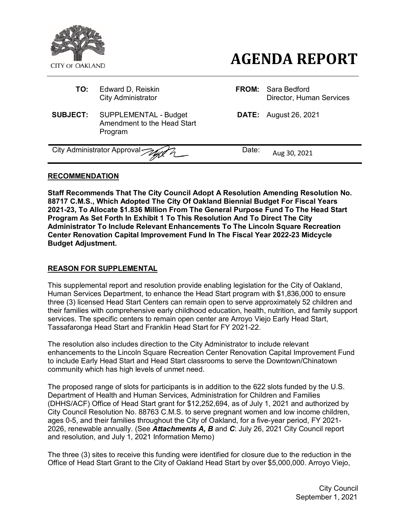

- **TO:** Edward D, Reiskin **FROM:** Sara Bedford
- **SUBJECT:** SUPPLEMENTAL Budget Amendment to the Head Start Program

# **AGENDA REPORT**

City Administrator Director, Human Services

**DATE:** August 26, 2021

City Administrator Approval  $\mathcal{W}$   $\sim$  Date: Aug 30, 2021

# **RECOMMENDATION**

**Staff Recommends That The City Council Adopt A Resolution Amending Resolution No. 88717 C.M.S., Which Adopted The City Of Oakland Biennial Budget For Fiscal Years 2021-23, To Allocate \$1.836 Million From The General Purpose Fund To The Head Start Program As Set Forth In Exhibit 1 To This Resolution And To Direct The City Administrator To Include Relevant Enhancements To The Lincoln Square Recreation Center Renovation Capital Improvement Fund In The Fiscal Year 2022-23 Midcycle Budget Adjustment.**

### **REASON FOR SUPPLEMENTAL**

This supplemental report and resolution provide enabling legislation for the City of Oakland, Human Services Department, to enhance the Head Start program with \$1,836,000 to ensure three (3) licensed Head Start Centers can remain open to serve approximately 52 children and their families with comprehensive early childhood education, health, nutrition, and family support services. The specific centers to remain open center are Arroyo Viejo Early Head Start, Tassafaronga Head Start and Franklin Head Start for FY 2021-22.

The resolution also includes direction to the City Administrator to include relevant enhancements to the Lincoln Square Recreation Center Renovation Capital Improvement Fund to include Early Head Start and Head Start classrooms to serve the Downtown/Chinatown community which has high levels of unmet need.

The proposed range of slots for participants is in addition to the 622 slots funded by the U.S. Department of Health and Human Services, Administration for Children and Families (DHHS/ACF) Office of Head Start grant for \$12,252,694, as of July 1, 2021 and authorized by City Council Resolution No. 88763 C.M.S. to serve pregnant women and low income children, ages 0-5, and their families throughout the City of Oakland, for a five-year period, FY 2021- 2026, renewable annually. (See *Attachments A, B* and *C*: July 26, 2021 City Council report and resolution, and July 1, 2021 Information Memo)

The three (3) sites to receive this funding were identified for closure due to the reduction in the Office of Head Start Grant to the City of Oakland Head Start by over \$5,000,000. Arroyo Viejo,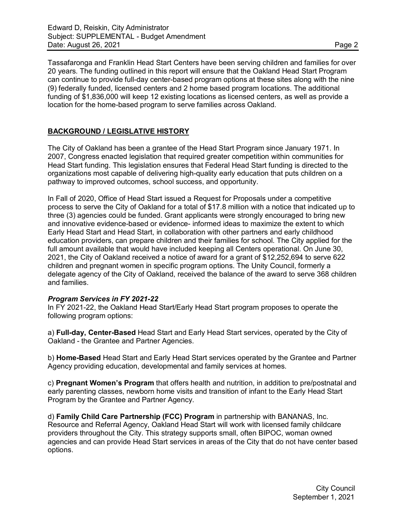Tassafaronga and Franklin Head Start Centers have been serving children and families for over 20 years. The funding outlined in this report will ensure that the Oakland Head Start Program can continue to provide full-day center-based program options at these sites along with the nine (9) federally funded, licensed centers and 2 home based program locations. The additional funding of \$1,836,000 will keep 12 existing locations as licensed centers, as well as provide a location for the home-based program to serve families across Oakland.

## **BACKGROUND / LEGISLATIVE HISTORY**

The City of Oakland has been a grantee of the Head Start Program since January 1971. In 2007, Congress enacted legislation that required greater competition within communities for Head Start funding. This legislation ensures that Federal Head Start funding is directed to the organizations most capable of delivering high-quality early education that puts children on a pathway to improved outcomes, school success, and opportunity.

In Fall of 2020, Office of Head Start issued a Request for Proposals under a competitive process to serve the City of Oakland for a total of \$17.8 million with a notice that indicated up to three (3) agencies could be funded. Grant applicants were strongly encouraged to bring new and innovative evidence-based or evidence- informed ideas to maximize the extent to which Early Head Start and Head Start, in collaboration with other partners and early childhood education providers, can prepare children and their families for school. The City applied for the full amount available that would have included keeping all Centers operational. On June 30, 2021, the City of Oakland received a notice of award for a grant of \$12,252,694 to serve 622 children and pregnant women in specific program options. The Unity Council, formerly a delegate agency of the City of Oakland, received the balance of the award to serve 368 children and families.

### *Program Services in FY 2021-22*

In FY 2021-22, the Oakland Head Start/Early Head Start program proposes to operate the following program options:

a) **Full-day, Center-Based** Head Start and Early Head Start services, operated by the City of Oakland - the Grantee and Partner Agencies.

b) **Home-Based** Head Start and Early Head Start services operated by the Grantee and Partner Agency providing education, developmental and family services at homes.

c) **Pregnant Women's Program** that offers health and nutrition, in addition to pre/postnatal and early parenting classes, newborn home visits and transition of infant to the Early Head Start Program by the Grantee and Partner Agency.

d) **Family Child Care Partnership (FCC) Program** in partnership with BANANAS, Inc. Resource and Referral Agency, Oakland Head Start will work with licensed family childcare providers throughout the City. This strategy supports small, often BIPOC, woman owned agencies and can provide Head Start services in areas of the City that do not have center based options.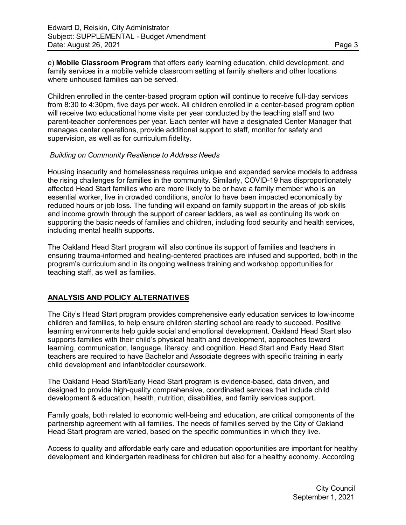e) **Mobile Classroom Program** that offers early learning education, child development, and family services in a mobile vehicle classroom setting at family shelters and other locations where unhoused families can be served.

Children enrolled in the center-based program option will continue to receive full-day services from 8:30 to 4:30pm, five days per week. All children enrolled in a center-based program option will receive two educational home visits per year conducted by the teaching staff and two parent-teacher conferences per year. Each center will have a designated Center Manager that manages center operations, provide additional support to staff, monitor for safety and supervision, as well as for curriculum fidelity.

#### *Building on Community Resilience to Address Needs*

Housing insecurity and homelessness requires unique and expanded service models to address the rising challenges for families in the community. Similarly, COVID-19 has disproportionately affected Head Start families who are more likely to be or have a family member who is an essential worker, live in crowded conditions, and/or to have been impacted economically by reduced hours or job loss. The funding will expand on family support in the areas of job skills and income growth through the support of career ladders, as well as continuing its work on supporting the basic needs of families and children, including food security and health services, including mental health supports.

The Oakland Head Start program will also continue its support of families and teachers in ensuring trauma-informed and healing-centered practices are infused and supported, both in the program's curriculum and in its ongoing wellness training and workshop opportunities for teaching staff, as well as families.

### **ANALYSIS AND POLICY ALTERNATIVES**

The City's Head Start program provides comprehensive early education services to low-income children and families, to help ensure children starting school are ready to succeed. Positive learning environments help guide social and emotional development. Oakland Head Start also supports families with their child's physical health and development, approaches toward learning, communication, language, literacy, and cognition. Head Start and Early Head Start teachers are required to have Bachelor and Associate degrees with specific training in early child development and infant/toddler coursework.

The Oakland Head Start/Early Head Start program is evidence-based, data driven, and designed to provide high-quality comprehensive, coordinated services that include child development & education, health, nutrition, disabilities, and family services support.

Family goals, both related to economic well-being and education, are critical components of the partnership agreement with all families. The needs of families served by the City of Oakland Head Start program are varied, based on the specific communities in which they live.

Access to quality and affordable early care and education opportunities are important for healthy development and kindergarten readiness for children but also for a healthy economy. According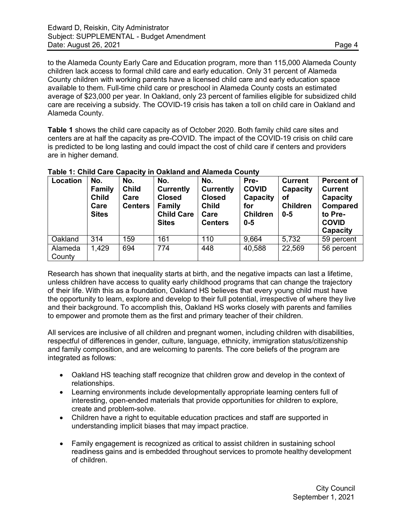to the Alameda County Early Care and Education program, more than 115,000 Alameda County children lack access to formal child care and early education. Only 31 percent of Alameda County children with working parents have a licensed child care and early education space available to them. Full-time child care or preschool in Alameda County costs an estimated average of \$23,000 per year. In Oakland, only 23 percent of families eligible for subsidized child care are receiving a subsidy. The COVID-19 crisis has taken a toll on child care in Oakland and Alameda County.

**Table 1** shows the child care capacity as of October 2020. Both family child care sites and centers are at half the capacity as pre-COVID. The impact of the COVID-19 crisis on child care is predicted to be long lasting and could impact the cost of child care if centers and providers are in higher demand.

| Location          | No.<br><b>Family</b><br><b>Child</b><br>Care<br><b>Sites</b> | No.<br><b>Child</b><br>Care<br><b>Centers</b> | No.<br><b>Currently</b><br><b>Closed</b><br><b>Family</b><br><b>Child Care</b><br><b>Sites</b> | No.<br><b>Currently</b><br><b>Closed</b><br><b>Child</b><br>Care<br><b>Centers</b> | Pre-<br><b>COVID</b><br>Capacity<br>for<br><b>Children</b><br>$0 - 5$ | <b>Current</b><br>Capacity<br>of<br><b>Children</b><br>$0 - 5$ | <b>Percent of</b><br><b>Current</b><br>Capacity<br><b>Compared</b><br>to Pre-<br><b>COVID</b><br>Capacity |
|-------------------|--------------------------------------------------------------|-----------------------------------------------|------------------------------------------------------------------------------------------------|------------------------------------------------------------------------------------|-----------------------------------------------------------------------|----------------------------------------------------------------|-----------------------------------------------------------------------------------------------------------|
| Oakland           | 314                                                          | 159                                           | 161                                                                                            | 110                                                                                | 9,664                                                                 | 5,732                                                          | 59 percent                                                                                                |
| Alameda<br>County | 1,429                                                        | 694                                           | 774                                                                                            | 448                                                                                | 40,588                                                                | 22,569                                                         | 56 percent                                                                                                |

|  | Table 1: Child Care Capacity in Oakland and Alameda County |
|--|------------------------------------------------------------|
|--|------------------------------------------------------------|

Research has shown that inequality starts at birth, and the negative impacts can last a lifetime, unless children have access to quality early childhood programs that can change the trajectory of their life. With this as a foundation, Oakland HS believes that every young child must have the opportunity to learn, explore and develop to their full potential, irrespective of where they live and their background. To accomplish this, Oakland HS works closely with parents and families to empower and promote them as the first and primary teacher of their children.

All services are inclusive of all children and pregnant women, including children with disabilities, respectful of differences in gender, culture, language, ethnicity, immigration status/citizenship and family composition, and are welcoming to parents. The core beliefs of the program are integrated as follows:

- Oakland HS teaching staff recognize that children grow and develop in the context of relationships.
- Learning environments include developmentally appropriate learning centers full of interesting, open-ended materials that provide opportunities for children to explore, create and problem-solve.
- Children have a right to equitable education practices and staff are supported in understanding implicit biases that may impact practice.
- Family engagement is recognized as critical to assist children in sustaining school readiness gains and is embedded throughout services to promote healthy development of children.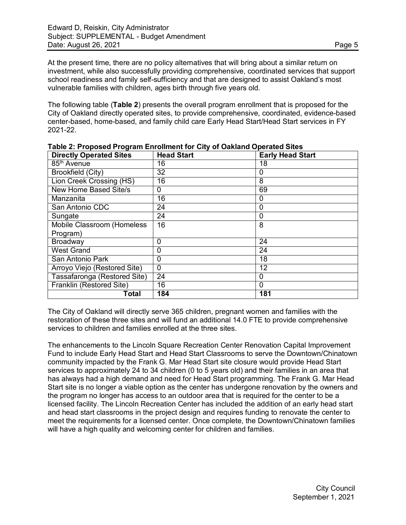At the present time, there are no policy alternatives that will bring about a similar return on investment, while also successfully providing comprehensive, coordinated services that support school readiness and family self-sufficiency and that are designed to assist Oakland's most vulnerable families with children, ages birth through five years old.

The following table (**Table 2**) presents the overall program enrollment that is proposed for the City of Oakland directly operated sites, to provide comprehensive, coordinated, evidence-based center-based, home-based, and family child care Early Head Start/Head Start services in FY 2021-22.

| <b>Directly Operated Sites</b> | <b>Head Start</b> | <b>Early Head Start</b> |  |  |
|--------------------------------|-------------------|-------------------------|--|--|
| 85 <sup>th</sup> Avenue        | 16                | 18                      |  |  |
| <b>Brookfield (City)</b>       | 32                | 0                       |  |  |
| Lion Creek Crossing (HS)       | 16                | 8                       |  |  |
| New Home Based Site/s          | $\Omega$          | 69                      |  |  |
| Manzanita                      | 16                | 0                       |  |  |
| San Antonio CDC                | 24                | 0                       |  |  |
| Sungate                        | 24                | 0                       |  |  |
| Mobile Classroom (Homeless     | 16                | 8                       |  |  |
| Program)                       |                   |                         |  |  |
| <b>Broadway</b>                | $\Omega$          | 24                      |  |  |
| <b>West Grand</b>              | $\Omega$          | 24                      |  |  |
| San Antonio Park               | 0                 | 18                      |  |  |
| Arroyo Viejo (Restored Site)   | $\mathbf{0}$      | 12                      |  |  |
| Tassafaronga (Restored Site)   | 24                | 0                       |  |  |
| Franklin (Restored Site)       | 16                | $\Omega$                |  |  |
| Total                          | 184               | 181                     |  |  |

**Table 2: Proposed Program Enrollment for City of Oakland Operated Sites**

The City of Oakland will directly serve 365 children, pregnant women and families with the restoration of these three sites and will fund an additional 14.0 FTE to provide comprehensive services to children and families enrolled at the three sites.

The enhancements to the Lincoln Square Recreation Center Renovation Capital Improvement Fund to include Early Head Start and Head Start Classrooms to serve the Downtown/Chinatown community impacted by the Frank G. Mar Head Start site closure would provide Head Start services to approximately 24 to 34 children (0 to 5 years old) and their families in an area that has always had a high demand and need for Head Start programming. The Frank G. Mar Head Start site is no longer a viable option as the center has undergone renovation by the owners and the program no longer has access to an outdoor area that is required for the center to be a licensed facility. The Lincoln Recreation Center has included the addition of an early head start and head start classrooms in the project design and requires funding to renovate the center to meet the requirements for a licensed center. Once complete, the Downtown/Chinatown families will have a high quality and welcoming center for children and families.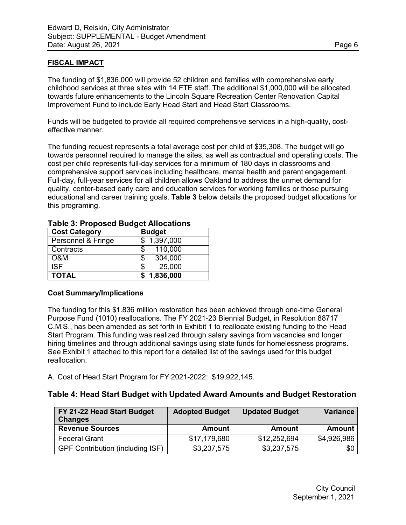## **FISCAL IMPACT**

The funding of \$1,836,000 will provide 52 children and families with comprehensive early childhood services at three sites with 14 FTE staff. The additional \$1,000,000 will be allocated towards future enhancements to the Lincoln Square Recreation Center Renovation Capital Improvement Fund to include Early Head Start and Head Start Classrooms.

Funds will be budgeted to provide all required comprehensive services in a high-quality, costeffective manner.

The funding request represents a total average cost per child of \$35,308. The budget will go towards personnel required to manage the sites, as well as contractual and operating costs. The cost per child represents full-day services for a minimum of 180 days in classrooms and comprehensive support services including healthcare, mental health and parent engagement. Full-day, full-year services for all children allows Oakland to address the unmet demand for quality, center-based early care and education services for working families or those pursuing educational and career training goals. **Table 3** below details the proposed budget allocations for this programing.

| <b>Cost Category</b> | <b>Budget</b> |
|----------------------|---------------|
| Personnel & Fringe   | \$1,397,000   |
| Contracts            | 110,000<br>\$ |
| O&M                  | 304,000<br>\$ |
| <b>ISF</b>           | 25,000<br>S   |
| <b>TOTAL</b>         | \$1,836,000   |

|  |  | <b>Table 3: Proposed Budget Allocations</b> |
|--|--|---------------------------------------------|
|--|--|---------------------------------------------|

### **Cost Summary/Implications**

The funding for this \$1.836 million restoration has been achieved through one-time General Purpose Fund (1010) reallocations. The FY 2021-23 Biennial Budget, in Resolution 88717 C.M.S., has been amended as set forth in Exhibit 1 to reallocate existing funding to the Head Start Program. This funding was realized through salary savings from vacancies and longer hiring timelines and through additional savings using state funds for homelessness programs. See Exhibit 1 attached to this report for a detailed list of the savings used for this budget reallocation.

A. Cost of Head Start Program for FY 2021-2022: \$19,922,145.

### **Table 4: Head Start Budget with Updated Award Amounts and Budget Restoration**

| FY 21-22 Head Start Budget<br><b>Changes</b> | <b>Adopted Budget</b> | <b>Updated Budget</b> | <b>Variance</b> |
|----------------------------------------------|-----------------------|-----------------------|-----------------|
| <b>Revenue Sources</b>                       | <b>Amount</b>         | <b>Amount</b>         | Amount          |
| <b>Federal Grant</b>                         | \$17,179,680          | \$12,252,694          | \$4,926,986     |
| <b>GPF Contribution (including ISF)</b>      | \$3,237,575           | \$3,237,575           | \$0             |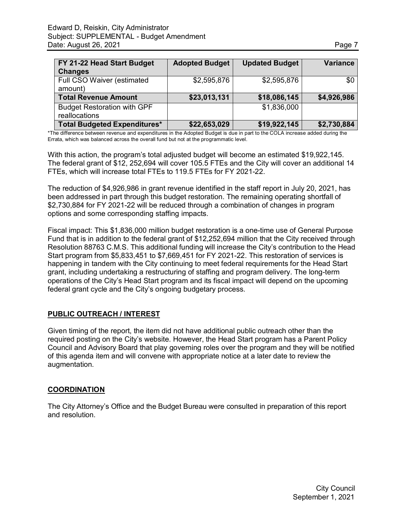| FY 21-22 Head Start Budget<br><b>Changes</b>        | <b>Adopted Budget</b> | <b>Updated Budget</b> | <b>Variance</b> |
|-----------------------------------------------------|-----------------------|-----------------------|-----------------|
| Full CSO Waiver (estimated<br>amount)               | \$2,595,876           | \$2,595,876           | \$0             |
| <b>Total Revenue Amount</b>                         | \$23,013,131          | \$18,086,145          | \$4,926,986     |
| <b>Budget Restoration with GPF</b><br>reallocations |                       | \$1,836,000           |                 |
| <b>Total Budgeted Expenditures*</b>                 | \$22,653,029          | \$19,922,145          | \$2,730,884     |

\*The difference between revenue and expenditures in the Adopted Budget is due in part to the COLA increase added during the Errata, which was balanced across the overall fund but not at the programmatic level.

With this action, the program's total adjusted budget will become an estimated \$19,922,145. The federal grant of \$12, 252,694 will cover 105.5 FTEs and the City will cover an additional 14 FTEs, which will increase total FTEs to 119.5 FTEs for FY 2021-22.

The reduction of \$4,926,986 in grant revenue identified in the staff report in July 20, 2021, has been addressed in part through this budget restoration. The remaining operating shortfall of \$2,730,884 for FY 2021-22 will be reduced through a combination of changes in program options and some corresponding staffing impacts.

Fiscal impact: This \$1,836,000 million budget restoration is a one-time use of General Purpose Fund that is in addition to the federal grant of \$12,252,694 million that the City received through Resolution 88763 C.M.S. This additional funding will increase the City's contribution to the Head Start program from \$5,833,451 to \$7,669,451 for FY 2021-22. This restoration of services is happening in tandem with the City continuing to meet federal requirements for the Head Start grant, including undertaking a restructuring of staffing and program delivery. The long-term operations of the City's Head Start program and its fiscal impact will depend on the upcoming federal grant cycle and the City's ongoing budgetary process.

### **PUBLIC OUTREACH / INTEREST**

Given timing of the report, the item did not have additional public outreach other than the required posting on the City's website. However, the Head Start program has a Parent Policy Council and Advisory Board that play governing roles over the program and they will be notified of this agenda item and will convene with appropriate notice at a later date to review the augmentation.

### **COORDINATION**

The City Attorney's Office and the Budget Bureau were consulted in preparation of this report and resolution.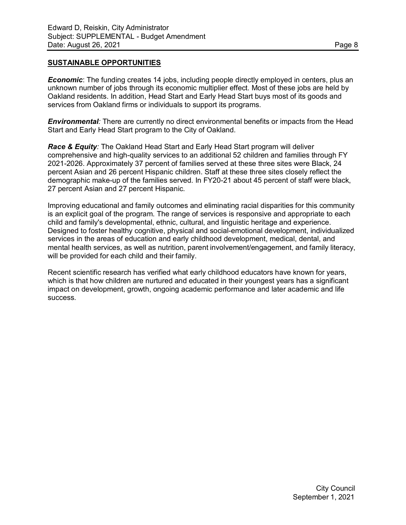#### **SUSTAINABLE OPPORTUNITIES**

*Economic*: The funding creates 14 jobs, including people directly employed in centers, plus an unknown number of jobs through its economic multiplier effect. Most of these jobs are held by Oakland residents. In addition, Head Start and Early Head Start buys most of its goods and services from Oakland firms or individuals to support its programs.

*Environmental:* There are currently no direct environmental benefits or impacts from the Head Start and Early Head Start program to the City of Oakland.

*Race & Equity:* The Oakland Head Start and Early Head Start program will deliver comprehensive and high-quality services to an additional 52 children and families through FY 2021-2026. Approximately 37 percent of families served at these three sites were Black, 24 percent Asian and 26 percent Hispanic children. Staff at these three sites closely reflect the demographic make-up of the families served. In FY20-21 about 45 percent of staff were black, 27 percent Asian and 27 percent Hispanic.

Improving educational and family outcomes and eliminating racial disparities for this community is an explicit goal of the program. The range of services is responsive and appropriate to each child and family's developmental, ethnic, cultural, and linguistic heritage and experience. Designed to foster healthy cognitive, physical and social-emotional development, individualized services in the areas of education and early childhood development, medical, dental, and mental health services, as well as nutrition, parent involvement/engagement, and family literacy, will be provided for each child and their family.

Recent scientific research has verified what early childhood educators have known for years, which is that how children are nurtured and educated in their youngest years has a significant impact on development, growth, ongoing academic performance and later academic and life success.